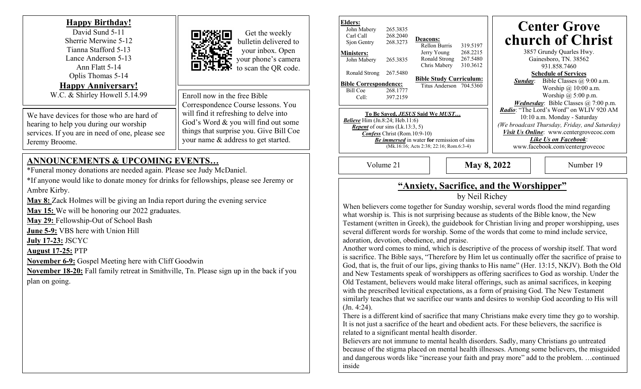### **Happy Birthday!**

David Sund 5-11 Sherrie Merwine 5-12 Tianna Stafford 5-13 Lance Anderson 5-13 Ann Flatt 5-14 Oplis Thomas 5-14 **Happy Anniversary!** W.C. & Shirley Howell 5.14.99

We have devices for those who are hard of hearing to help you during our worship services. If you are in need of one, please see Jeremy Broome.

#### Enroll now in the free Bible Correspondence Course lessons. You will find it refreshing to delve into God's Word & you will find out some things that surprise you. Give Bill Coe your name & address to get started.

Get the weekly bulletin delivered to your inbox. Open your phone's camera to scan the QR code.

## **ANNOUNCEMENTS & UPCOMING EVENTS…**

\*Funeral money donations are needed again. Please see Judy McDaniel.

\*If anyone would like to donate money for drinks for fellowships, please see Jeremy or Ambre Kirby.

**May 8:** Zack Holmes will be giving an India report during the evening service

**May 15:** We will be honoring our 2022 graduates.

**May 29:** Fellowship-Out of School Bash

**June 5-9:** VBS here with Union Hill

**July 17-23:** JSCYC

**August 17-25:** PTP

**November 6-9:** Gospel Meeting here with Cliff Goodwin

**November 18-20:** Fall family retreat in Smithville, Tn. Please sign up in the back if you plan on going.

| Elders:<br>John Mabery<br>Carl Call<br>Sjon Gentry                                                                                                                                                                                                                           | 265.3835<br>268.2040<br>268.3273 | <b>Deacons:</b><br>Rellon Burris                          | 319.5197                         | <b>Center Grove</b><br>church of Christ                                                                                                                                                                                               |
|------------------------------------------------------------------------------------------------------------------------------------------------------------------------------------------------------------------------------------------------------------------------------|----------------------------------|-----------------------------------------------------------|----------------------------------|---------------------------------------------------------------------------------------------------------------------------------------------------------------------------------------------------------------------------------------|
| <b>Ministers:</b><br>John Mabery                                                                                                                                                                                                                                             | 265.3835                         | Jerry Young<br>Ronald Strong<br>Chris Mabery              | 268.2215<br>267.5480<br>310.3612 | 3857 Grundy Quarles Hwy.<br>Gainesboro, TN. 38562<br>931.858.7460                                                                                                                                                                     |
| Ronald Strong<br><b>Bible Correspondence:</b><br>Bill Coe<br>Cell:                                                                                                                                                                                                           | 267.5480<br>268,1777<br>397.2159 | <b>Bible Study Curriculum:</b><br>Titus Anderson 704.5360 |                                  | <b>Schedule of Services</b><br>Bible Classes $(a)$ 9:00 a.m.<br>Sunday:<br>Worship $\omega$ 10:00 a.m.<br>Worship $\omega$ 5:00 p.m.<br><i>Wednesday</i> : Bible Classes $\omega$ 7:00 p.m.                                           |
| To Be Saved, <i>JESUS</i> Said We <i>MUST</i><br><b>Believe</b> Him $(In.8:24; Heb.11:6)$<br><i>Repent</i> of our sins $(Lk.13:3, 5)$<br><b>Confess Christ (Rom.10:9-10)</b><br><b>Be immersed</b> in water for remission of sins<br>(Mk.16:16; Acts 2:38; 22:16; Rom.6:3-4) |                                  |                                                           |                                  | <i>Radio:</i> "The Lord's Word" on WLIV 920 AM<br>10:10 a.m. Monday - Saturday<br>(We broadcast Thursday, Friday, and Saturday)<br>Visit Us Online: www.centergrovecoc.com<br>Like Us on Facebook:<br>www.facebook.com/centergrovecoc |

Volume 21 **May 8, 2022**

Number 19

# **"Anxiety, Sacrifice, and the Worshipper"**

### by Neil Richey

When believers come together for Sunday worship, several words flood the mind regarding what worship is. This is not surprising because as students of the Bible know, the New Testament (written in Greek), the guidebook for Christian living and proper worshipping, uses several different words for worship. Some of the words that come to mind include service, adoration, devotion, obedience, and praise.

Another word comes to mind, which is descriptive of the process of worship itself. That word is sacrifice. The Bible says, "Therefore by Him let us continually offer the sacrifice of praise to God, that is, the fruit of our lips, giving thanks to His name" (Her. 13:15, NKJV). Both the Old and New Testaments speak of worshippers as offering sacrifices to God as worship. Under the Old Testament, believers would make literal offerings, such as animal sacrifices, in keeping with the prescribed levitical expectations, as a form of praising God. The New Testament similarly teaches that we sacrifice our wants and desires to worship God according to His will (Jn. 4:24).

There is a different kind of sacrifice that many Christians make every time they go to worship. It is not just a sacrifice of the heart and obedient acts. For these believers, the sacrifice is related to a significant mental health disorder.

Believers are not immune to mental health disorders. Sadly, many Christians go untreated because of the stigma placed on mental health illnesses. Among some believers, the misguided and dangerous words like "increase your faith and pray more" add to the problem. …continued inside